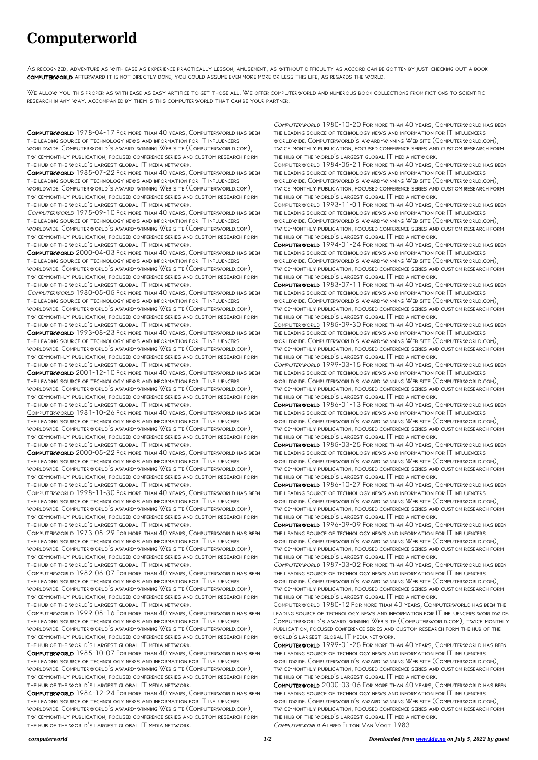## **Computerworld**

As recognized, adventure as with ease as experience practically lesson, amusement, as without difficulty as accord can be gotten by just checking out a book computerworld afterward it is not directly done, you could assume even more more or less this life, as regards the world.

We allow you this proper as with ease as easy artifice to get those all. We offer computerworld and numerous book collections from fictions to scientific research in any way. accompanied by them is this computerworld that can be your partner.

Computerworld 1978-04-17 For more than 40 years, Computerworld has been the leading source of technology news and information for IT influencers worldwide. Computerworld's award-winning Web site (Computerworld.com), twice-monthly publication, focused conference series and custom research form the hub of the world's largest global IT media network.

Computerworld 1985-07-22 For more than 40 years, Computerworld has been the leading source of technology news and information for IT influencers worldwide. Computerworld's award-winning Web site (Computerworld.com), twice-monthly publication, focused conference series and custom research form the hub of the world's largest global IT media network.

Computerworld 1975-09-10 For more than 40 years, Computerworld has been the leading source of technology news and information for IT influencers worldwide. Computerworld's award-winning Web site (Computerworld.com), twice-monthly publication, focused conference series and custom research form the hub of the world's largest global IT media network.

Computerworld 2000-04-03 For more than 40 years, Computerworld has been the leading source of technology news and information for IT influencers worldwide. Computerworld's award-winning Web site (Computerworld.com), twice-monthly publication, focused conference series and custom research form the hub of the world's largest global IT media network.

Computerworld 1980-05-05 For more than 40 years, Computerworld has been the leading source of technology news and information for IT influencers worldwide. Computerworld's award-winning Web site (Computerworld.com), twice-monthly publication, focused conference series and custom research form the hub of the world's largest global IT media network.

Computerworld 1993-08-23 For more than 40 years, Computerworld has been the leading source of technology news and information for IT influencers worldwide. Computerworld's award-winning Web site (Computerworld.com), twice-monthly publication, focused conference series and custom research form the hub of the world's largest global IT media network.

Computerworld 2001-12-10 For more than 40 years, Computerworld has been the leading source of technology news and information for IT influencers worldwide. Computerworld's award-winning Web site (Computerworld.com), twice-monthly publication, focused conference series and custom research form the hub of the world's largest global IT media network.

Computerworld 1981-10-26 For more than 40 years, Computerworld has been the leading source of technology news and information for IT influencers worldwide. Computerworld's award-winning Web site (Computerworld.com), twice-monthly publication, focused conference series and custom research form the hub of the world's largest global IT media network.

Computerworld 2000-05-22 For more than 40 years, Computerworld has been the leading source of technology news and information for IT influencers worldwide. Computerworld's award-winning Web site (Computerworld.com), twice-monthly publication, focused conference series and custom research form the hub of the world's largest global IT media network.

Computerworld 1998-11-30 For more than 40 years, Computerworld has been the leading source of technology news and information for IT influencers worldwide. Computerworld's award-winning Web site (Computerworld.com), twice-monthly publication, focused conference series and custom research form the hub of the world's largest global IT media network.

Computerworld 1973-08-29 For more than 40 years, Computerworld has been the leading source of technology news and information for IT influencers worldwide. Computerworld's award-winning Web site (Computerworld.com), twice-monthly publication, focused conference series and custom research form the hub of the world's largest global IT media network.

Computerworld 1982-06-07 For more than 40 years, Computerworld has been the leading source of technology news and information for IT influencers worldwide. Computerworld's award-winning Web site (Computerworld.com), twice-monthly publication, focused conference series and custom research form the hub of the world's largest global IT media network. Computerworld 1999-08-16 For more than 40 years, Computerworld has been the leading source of technology news and information for IT influencers worldwide. Computerworld's award-winning Web site (Computerworld.com), twice-monthly publication, focused conference series and custom research form the hub of the world's largest global IT media network. Computerworld 1985-10-07 For more than 40 years, Computerworld has been the leading source of technology news and information for IT influencers worldwide. Computerworld's award-winning Web site (Computerworld.com), twice-monthly publication, focused conference series and custom research form the hub of the world's largest global IT media network. Computerworld 1984-12-24 For more than 40 years, Computerworld has been the leading source of technology news and information for IT influencers worldwide. Computerworld's award-winning Web site (Computerworld.com), twice-monthly publication, focused conference series and custom research form the hub of the world's largest global IT media network.

Computerworld 1980-10-20 For more than 40 years, Computerworld has been the leading source of technology news and information for IT influencers worldwide. Computerworld's award-winning Web site (Computerworld.com), twice-monthly publication, focused conference series and custom research form the hub of the world's largest global IT media network.

Computerworld 1984-05-21 For more than 40 years, Computerworld has been the leading source of technology news and information for IT influencers worldwide. Computerworld's award-winning Web site (Computerworld.com), twice-monthly publication, focused conference series and custom research form the hub of the world's largest global IT media network.

Computerworld 1993-11-01 For more than 40 years, Computerworld has been the leading source of technology news and information for IT influencers worldwide. Computerworld's award-winning Web site (Computerworld.com), twice-monthly publication, focused conference series and custom research form the hub of the world's largest global IT media network.

Computerworld 1994-01-24 For more than 40 years, Computerworld has been the leading source of technology news and information for IT influencers worldwide. Computerworld's award-winning Web site (Computerworld.com), twice-monthly publication, focused conference series and custom research form the hub of the world's largest global IT media network.

Computerworld 1983-07-11 For more than 40 years, Computerworld has been the leading source of technology news and information for IT influencers worldwide. Computerworld's award-winning Web site (Computerworld.com), twice-monthly publication, focused conference series and custom research form the hub of the world's largest global IT media network.

Computerworld 1985-09-30 For more than 40 years, Computerworld has been the leading source of technology news and information for IT influencers worldwide. Computerworld's award-winning Web site (Computerworld.com), twice-monthly publication, focused conference series and custom research form the hub of the world's largest global IT media network.

Computerworld 1999-03-15 For more than 40 years, Computerworld has been the leading source of technology news and information for IT influencers worldwide. Computerworld's award-winning Web site (Computerworld.com), twice-monthly publication, focused conference series and custom research form the hub of the world's largest global IT media network.

Computerworld 1986-01-13 For more than 40 years, Computerworld has been the leading source of technology news and information for IT influencers worldwide. Computerworld's award-winning Web site (Computerworld.com), twice-monthly publication, focused conference series and custom research form the hub of the world's largest global IT media network.

Computerworld 1985-03-25 For more than 40 years, Computerworld has been the leading source of technology news and information for IT influencers worldwide. Computerworld's award-winning Web site (Computerworld.com), twice-monthly publication, focused conference series and custom research form the hub of the world's largest global IT media network.

Computerworld 1986-10-27 For more than 40 years, Computerworld has been the leading source of technology news and information for IT influencers worldwide. Computerworld's award-winning Web site (Computerworld.com), twice-monthly publication, focused conference series and custom research form the hub of the world's largest global IT media network.

Computerworld 1996-09-09 For more than 40 years, Computerworld has been the leading source of technology news and information for IT influencers worldwide. Computerworld's award-winning Web site (Computerworld.com), twice-monthly publication, focused conference series and custom research form the hub of the world's largest global IT media network.

Computerworld 1987-03-02 For more than 40 years, Computerworld has been The leading source of technology news and information for  $|\mathsf{T}|$  influencers worldwide. Computerworld's award-winning Web site (Computerworld.com), twice-monthly publication, focused conference series and custom research form the hub of the world's largest global IT media network. Computerworld 1980-12 For more than 40 years, Computerworld has been the leading source of technology news and information for IT influencers worldwide. Computerworld's award-winning Web site (Computerworld.com), twice-monthly publication, focused conference series and custom research form the hub of the world's largest global IT media network. Computerworld 1999-01-25 For more than 40 years, Computerworld has been the leading source of technology news and information for IT influencers worldwide. Computerworld's award-winning Web site (Computerworld.com), twice-monthly publication, focused conference series and custom research form the hub of the world's largest global IT media network. Computerworld 2000-03-06 For more than 40 years, Computerworld has been the leading source of technology news and information for IT influencers worldwide. Computerworld's award-winning Web site (Computerworld.com), twice-monthly publication, focused conference series and custom research form the hub of the world's largest global IT media network. Computerworld Alfred Elton Van Vogt 1983